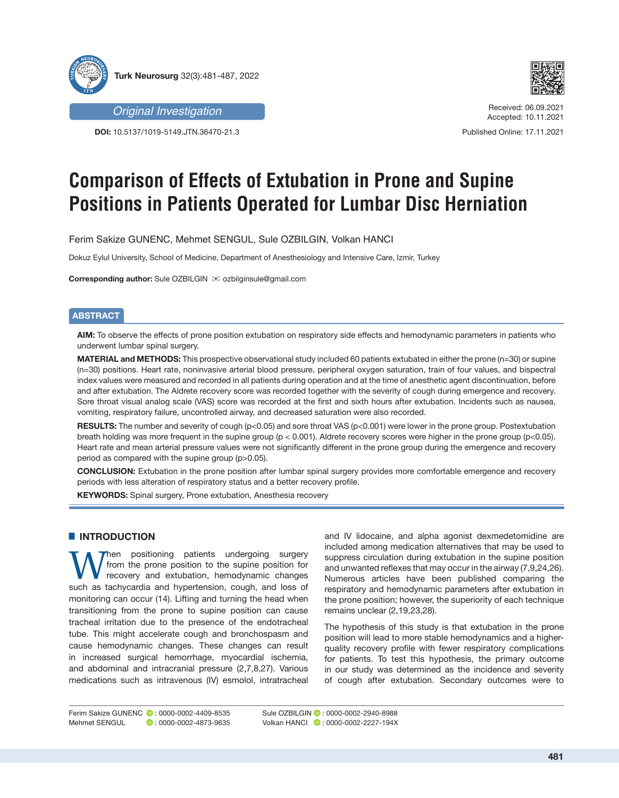



*Original Investigation*

**DOI:** 10.5137/1019-5149.JTN.36470-21.3

Received: 06.09.2021 Accepted: 10.11.2021

Published Online: 17.11.2021

# **Comparison of Effects of Extubation in Prone and Supine Positions in Patients Operated for Lumbar Disc Herniation**

Ferim Sakize GUNENC, Mehmet SENGUL, Sule OZBILGIN, Volkan HANCI

Dokuz Eylul University, School of Medicine, Department of Anesthesiology and Intensive Care, Izmir, Turkey

**Corresponding author:** Sule OZBILGIN **imaginal** ozbilginsule@gmail.com

# **ABSTRACT**

**AIM:** To observe the effects of prone position extubation on respiratory side effects and hemodynamic parameters in patients who underwent lumbar spinal surgery.

**MATERIAL and METHODS:** This prospective observational study included 60 patients extubated in either the prone (n=30) or supine (n=30) positions. Heart rate, noninvasive arterial blood pressure, peripheral oxygen saturation, train of four values, and bispectral index values were measured and recorded in all patients during operation and at the time of anesthetic agent discontinuation, before and after extubation. The Aldrete recovery score was recorded together with the severity of cough during emergence and recovery. Sore throat visual analog scale (VAS) score was recorded at the first and sixth hours after extubation. Incidents such as nausea, vomiting, respiratory failure, uncontrolled airway, and decreased saturation were also recorded.

**RESULTS:** The number and severity of cough (p<0.05) and sore throat VAS (p<0.001) were lower in the prone group. Postextubation breath holding was more frequent in the supine group (p < 0.001). Aldrete recovery scores were higher in the prone group (p<0.05). Heart rate and mean arterial pressure values were not significantly different in the prone group during the emergence and recovery period as compared with the supine group (p>0.05).

**CONCLUSION:** Extubation in the prone position after lumbar spinal surgery provides more comfortable emergence and recovery periods with less alteration of respiratory status and a better recovery profile.

**KEYWORDS:** Spinal surgery, Prone extubation, Anesthesia recovery

# █ **INTRODUCTION**

Then positioning patients undergoing surgery from the prone position to the supine position for recovery and extubation, hemodynamic changes such as tachycardia and hypertension, cough, and loss of monitoring can occur (14). Lifting and turning the head when transitioning from the prone to supine position can cause tracheal irritation due to the presence of the endotracheal tube. This might accelerate cough and bronchospasm and cause hemodynamic changes. These changes can result in increased surgical hemorrhage, myocardial ischemia, and abdominal and intracranial pressure (2,7,8,27). Various medications such as intravenous (IV) esmolol, intratracheal

and IV lidocaine, and alpha agonist dexmedetomidine are included among medication alternatives that may be used to suppress circulation during extubation in the supine position and unwanted reflexes that may occur in the airway (7,9,24,26). Numerous articles have been published comparing the respiratory and hemodynamic parameters after extubation in the prone position; however, the superiority of each technique remains unclear (2,19,23,28).

The hypothesis of this study is that extubation in the prone position will lead to more stable hemodynamics and a higherquality recovery profile with fewer respiratory complications for patients. To test this hypothesis, the primary outcome in our study was determined as the incidence and severity of cough after extubation. Secondary outcomes were to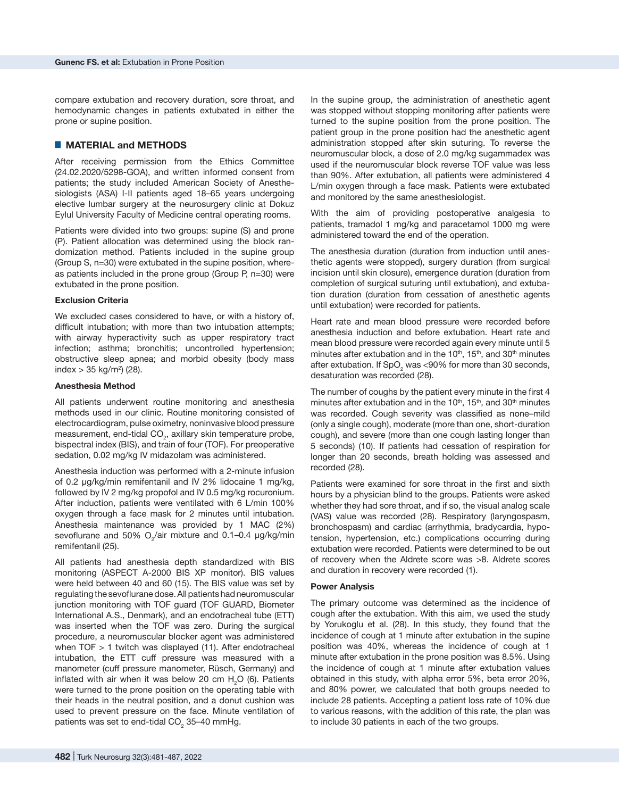compare extubation and recovery duration, sore throat, and hemodynamic changes in patients extubated in either the prone or supine position.

# █ **MATERIAL and METHODS**

After receiving permission from the Ethics Committee (24.02.2020/5298-GOA), and written informed consent from patients; the study included American Society of Anesthesiologists (ASA) I-II patients aged 18–65 years undergoing elective lumbar surgery at the neurosurgery clinic at Dokuz Eylul University Faculty of Medicine central operating rooms.

Patients were divided into two groups: supine (S) and prone (P). Patient allocation was determined using the block randomization method. Patients included in the supine group (Group S, n=30) were extubated in the supine position, whereas patients included in the prone group (Group P, n=30) were extubated in the prone position.

#### **Exclusion Criteria**

We excluded cases considered to have, or with a history of, difficult intubation; with more than two intubation attempts; with airway hyperactivity such as upper respiratory tract infection; asthma; bronchitis; uncontrolled hypertension; obstructive sleep apnea; and morbid obesity (body mass index > 35 kg/m<sup>2</sup> ) (28).

#### **Anesthesia Method**

All patients underwent routine monitoring and anesthesia methods used in our clinic. Routine monitoring consisted of electrocardiogram, pulse oximetry, noninvasive blood pressure measurement, end-tidal  $CO<sub>2</sub>$ , axillary skin temperature probe, bispectral index (BIS), and train of four (TOF). For preoperative sedation, 0.02 mg/kg IV midazolam was administered.

Anesthesia induction was performed with a 2-minute infusion of 0.2 μg/kg/min remifentanil and IV 2% lidocaine 1 mg/kg, followed by IV 2 mg/kg propofol and IV 0.5 mg/kg rocuronium. After induction, patients were ventilated with 6 L/min 100% oxygen through a face mask for 2 minutes until intubation. Anesthesia maintenance was provided by 1 MAC (2%) sevoflurane and 50%  $O_2$ /air mixture and 0.1–0.4  $\mu$ g/kg/min remifentanil (25).

All patients had anesthesia depth standardized with BIS monitoring (ASPECT A-2000 BIS XP monitor). BIS values were held between 40 and 60 (15). The BIS value was set by regulating the sevoflurane dose. All patients had neuromuscular junction monitoring with TOF guard (TOF GUARD, Biometer International A.S., Denmark), and an endotracheal tube (ETT) was inserted when the TOF was zero. During the surgical procedure, a neuromuscular blocker agent was administered when TOF > 1 twitch was displayed (11). After endotracheal intubation, the ETT cuff pressure was measured with a manometer (cuff pressure manometer, Rüsch, Germany) and inflated with air when it was below 20 cm  $H<sub>2</sub>O$  (6). Patients were turned to the prone position on the operating table with their heads in the neutral position, and a donut cushion was used to prevent pressure on the face. Minute ventilation of patients was set to end-tidal CO $_{\tiny 2}$  35–40 mmHg.

In the supine group, the administration of anesthetic agent was stopped without stopping monitoring after patients were turned to the supine position from the prone position. The patient group in the prone position had the anesthetic agent administration stopped after skin suturing. To reverse the neuromuscular block, a dose of 2.0 mg/kg sugammadex was used if the neuromuscular block reverse TOF value was less than 90%. After extubation, all patients were administered 4 L/min oxygen through a face mask. Patients were extubated and monitored by the same anesthesiologist.

With the aim of providing postoperative analgesia to patients, tramadol 1 mg/kg and paracetamol 1000 mg were administered toward the end of the operation.

The anesthesia duration (duration from induction until anesthetic agents were stopped), surgery duration (from surgical incision until skin closure), emergence duration (duration from completion of surgical suturing until extubation), and extubation duration (duration from cessation of anesthetic agents until extubation) were recorded for patients.

Heart rate and mean blood pressure were recorded before anesthesia induction and before extubation. Heart rate and mean blood pressure were recorded again every minute until 5 minutes after extubation and in the  $10<sup>th</sup>$ , 15<sup>th</sup>, and  $30<sup>th</sup>$  minutes after extubation. If SpO<sub>2</sub> was <90% for more than 30 seconds, desaturation was recorded (28).

The number of coughs by the patient every minute in the first 4 minutes after extubation and in the  $10<sup>th</sup>$ ,  $15<sup>th</sup>$ , and  $30<sup>th</sup>$  minutes was recorded. Cough severity was classified as none–mild (only a single cough), moderate (more than one, short-duration cough), and severe (more than one cough lasting longer than 5 seconds) (10). If patients had cessation of respiration for longer than 20 seconds, breath holding was assessed and recorded (28).

Patients were examined for sore throat in the first and sixth hours by a physician blind to the groups. Patients were asked whether they had sore throat, and if so, the visual analog scale (VAS) value was recorded (28). Respiratory (laryngospasm, bronchospasm) and cardiac (arrhythmia, bradycardia, hypotension, hypertension, etc.) complications occurring during extubation were recorded. Patients were determined to be out of recovery when the Aldrete score was >8. Aldrete scores and duration in recovery were recorded (1).

#### **Power Analysis**

The primary outcome was determined as the incidence of cough after the extubation. With this aim, we used the study by Yorukoglu et al. (28). In this study, they found that the incidence of cough at 1 minute after extubation in the supine position was 40%, whereas the incidence of cough at 1 minute after extubation in the prone position was 8.5%. Using the incidence of cough at 1 minute after extubation values obtained in this study, with alpha error 5%, beta error 20%, and 80% power, we calculated that both groups needed to include 28 patients. Accepting a patient loss rate of 10% due to various reasons, with the addition of this rate, the plan was to include 30 patients in each of the two groups.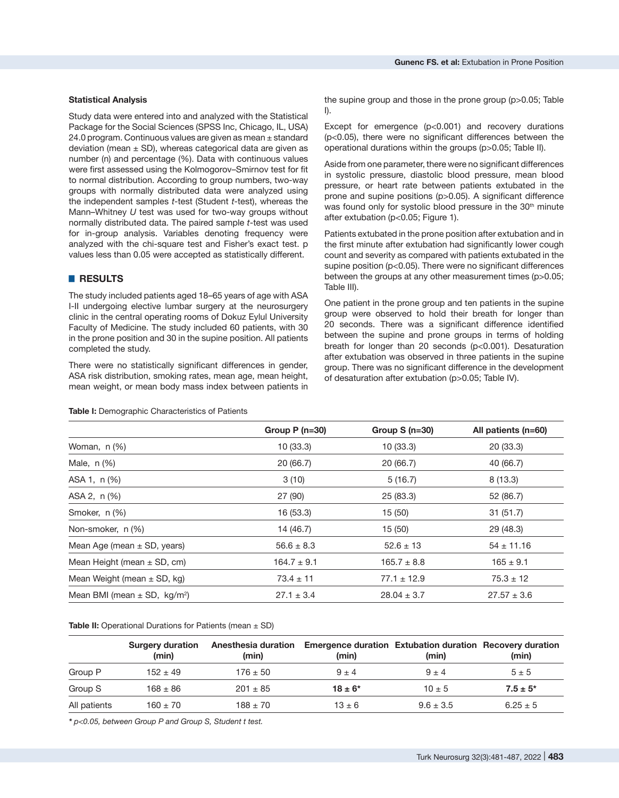# **Statistical Analysis**

Study data were entered into and analyzed with the Statistical Package for the Social Sciences (SPSS Inc, Chicago, IL, USA) 24.0 program. Continuous values are given as mean  $\pm$  standard deviation (mean  $\pm$  SD), whereas categorical data are given as number (n) and percentage (%). Data with continuous values were first assessed using the Kolmogorov–Smirnov test for fit to normal distribution. According to group numbers, two-way groups with normally distributed data were analyzed using the independent samples *t*-test (Student *t*-test), whereas the Mann–Whitney *U* test was used for two-way groups without normally distributed data. The paired sample *t*-test was used for in-group analysis. Variables denoting frequency were analyzed with the chi-square test and Fisher's exact test. p values less than 0.05 were accepted as statistically different.

# █ **RESULTS**

The study included patients aged 18–65 years of age with ASA I-II undergoing elective lumbar surgery at the neurosurgery clinic in the central operating rooms of Dokuz Eylul University Faculty of Medicine. The study included 60 patients, with 30 in the prone position and 30 in the supine position. All patients completed the study.

There were no statistically significant differences in gender, ASA risk distribution, smoking rates, mean age, mean height, mean weight, or mean body mass index between patients in the supine group and those in the prone group (p>0.05; Table I).

Except for emergence (p<0.001) and recovery durations (p<0.05), there were no significant differences between the operational durations within the groups (p>0.05; Table II).

Aside from one parameter, there were no significant differences in systolic pressure, diastolic blood pressure, mean blood pressure, or heart rate between patients extubated in the prone and supine positions (p>0.05). A significant difference was found only for systolic blood pressure in the 30<sup>th</sup> minute after extubation (p<0.05; Figure 1).

Patients extubated in the prone position after extubation and in the first minute after extubation had significantly lower cough count and severity as compared with patients extubated in the supine position (p<0.05). There were no significant differences between the groups at any other measurement times (p>0.05; Table III).

One patient in the prone group and ten patients in the supine group were observed to hold their breath for longer than 20 seconds. There was a significant difference identified between the supine and prone groups in terms of holding breath for longer than 20 seconds (p<0.001). Desaturation after extubation was observed in three patients in the supine group. There was no significant difference in the development of desaturation after extubation (p>0.05; Table IV).

|                                              | Group $P(n=30)$ | Group $S(n=30)$ | All patients $(n=60)$ |
|----------------------------------------------|-----------------|-----------------|-----------------------|
| Woman, $n$ $(\%)$                            | 10(33.3)        | 10(33.3)        | 20(33.3)              |
| Male, n (%)                                  | 20 (66.7)       | 20(66.7)        | 40 (66.7)             |
| ASA 1, n (%)                                 | 3(10)           | 5(16.7)         | 8(13.3)               |
| ASA 2, n (%)                                 | 27 (90)         | 25 (83.3)       | 52 (86.7)             |
| Smoker, n (%)                                | 16 (53.3)       | 15(50)          | 31(51.7)              |
| Non-smoker, n (%)                            | 14 (46.7)       | 15(50)          | 29 (48.3)             |
| Mean Age (mean $\pm$ SD, years)              | $56.6 \pm 8.3$  | $52.6 \pm 13$   | $54 \pm 11.16$        |
| Mean Height (mean $\pm$ SD, cm)              | $164.7 \pm 9.1$ | $165.7 \pm 8.8$ | $165 \pm 9.1$         |
| Mean Weight (mean $\pm$ SD, kg)              | $73.4 \pm 11$   | $77.1 \pm 12.9$ | $75.3 \pm 12$         |
| Mean BMI (mean $\pm$ SD, kg/m <sup>2</sup> ) | $27.1 \pm 3.4$  | $28.04 \pm 3.7$ | $27.57 \pm 3.6$       |

#### **Table I:** Demographic Characteristics of Patients

**Table II:** Operational Durations for Patients (mean  $\pm$  SD)

|              | <b>Surgery duration</b><br>(min) | (min)        | Anesthesia duration Emergence duration Extubation duration Recovery duration<br>(min) | (min)         | (min)         |
|--------------|----------------------------------|--------------|---------------------------------------------------------------------------------------|---------------|---------------|
| Group P      | $152 + 49$                       | $176 \pm 50$ | $9 + 4$                                                                               | $9 + 4$       | $5 \pm 5$     |
| Group S      | $168 \pm 86$                     | $201 \pm 85$ | $18 + 6*$                                                                             | $10 + 5$      | $7.5 \pm 5^*$ |
| All patients | $160 \pm 70$                     | $188 \pm 70$ | $13 + 6$                                                                              | $9.6 \pm 3.5$ | $6.25 \pm 5$  |

*\* p<0.05, between Group P and Group S, Student t test.*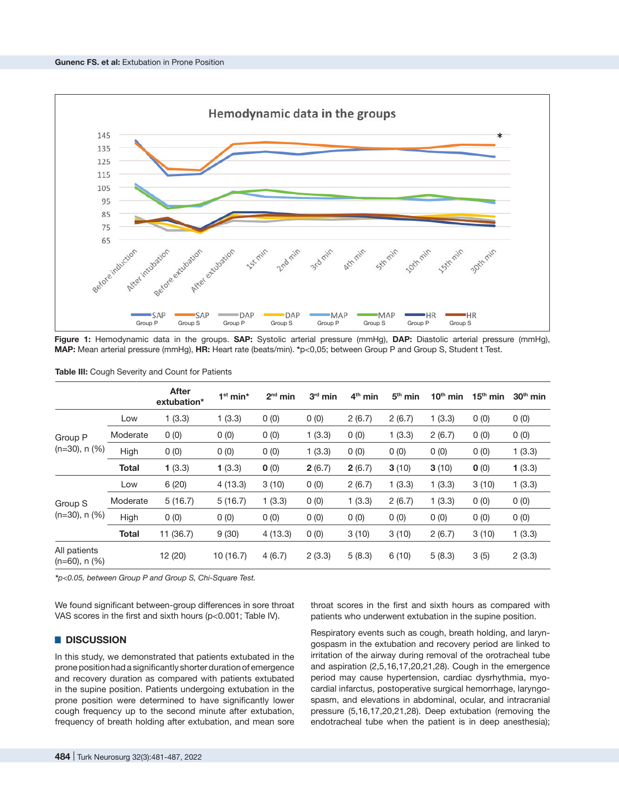

**Figure 1:** Hemodynamic data in the groups. **SAP:** Systolic arterial pressure (mmHg), **DAP:** Diastolic arterial pressure (mmHg), **MAP:** Mean arterial pressure (mmHg), **HR:** Heart rate (beats/min). **\***p<0,05; between Group P and Group S, Student t Test.

|                                     |              | <b>After</b><br>extubation* | $1st min*$ | $2nd$ min | $3rd$ min | $4th$ min | $5th$ min | $10th$ min | $15th$ min | $30th$ min |
|-------------------------------------|--------------|-----------------------------|------------|-----------|-----------|-----------|-----------|------------|------------|------------|
| Group P<br>$(n=30)$ , n $(%$ )      | Low          | 1(3.3)                      | 1(3.3)     | 0(0)      | 0(0)      | 2(6.7)    | 2(6.7)    | 1(3.3)     | 0(0)       | 0(0)       |
|                                     | Moderate     | 0(0)                        | 0(0)       | 0(0)      | 1(3.3)    | 0(0)      | 1(3.3)    | 2(6.7)     | 0(0)       | 0(0)       |
|                                     | High         | 0(0)                        | 0(0)       | 0(0)      | 1(3.3)    | 0(0)      | 0(0)      | 0(0)       | 0(0)       | 1(3.3)     |
|                                     | <b>Total</b> | 1(3.3)                      | 1(3.3)     | 0(0)      | 2(6.7)    | 2(6.7)    | 3(10)     | 3(10)      | 0(0)       | 1(3.3)     |
| Group S<br>$(n=30)$ , n $(%$ )      | Low          | 6(20)                       | 4(13.3)    | 3(10)     | 0(0)      | 2(6.7)    | 1(3.3)    | 1(3.3)     | 3(10)      | 1(3.3)     |
|                                     | Moderate     | 5(16.7)                     | 5(16.7)    | 1(3.3)    | 0(0)      | 1(3.3)    | 2(6.7)    | 1(3.3)     | 0(0)       | 0(0)       |
|                                     | High         | 0(0)                        | 0(0)       | 0(0)      | 0(0)      | 0(0)      | 0(0)      | 0(0)       | 0(0)       | 0(0)       |
|                                     | <b>Total</b> | 11 (36.7)                   | 9(30)      | 4(13.3)   | 0(0)      | 3(10)     | 3(10)     | 2(6.7)     | 3(10)      | 1(3.3)     |
| All patients<br>$(n=60)$ , n $(%$ ) |              | 12 (20)                     | 10(16.7)   | 4(6.7)    | 2(3.3)    | 5(8.3)    | 6(10)     | 5(8.3)     | 3(5)       | 2(3.3)     |

**Table III:** Cough Severity and Count for Patients

*\*p<0.05, between Group P and Group S, Chi-Square Test.*

We found significant between-group differences in sore throat VAS scores in the first and sixth hours (p<0.001; Table IV).

#### █ **DISCUSSION**

In this study, we demonstrated that patients extubated in the prone position had a significantly shorter duration of emergence and recovery duration as compared with patients extubated in the supine position. Patients undergoing extubation in the prone position were determined to have significantly lower cough frequency up to the second minute after extubation, frequency of breath holding after extubation, and mean sore

throat scores in the first and sixth hours as compared with patients who underwent extubation in the supine position.

Respiratory events such as cough, breath holding, and laryngospasm in the extubation and recovery period are linked to irritation of the airway during removal of the orotracheal tube and aspiration (2,5,16,17,20,21,28). Cough in the emergence period may cause hypertension, cardiac dysrhythmia, myocardial infarctus, postoperative surgical hemorrhage, laryngospasm, and elevations in abdominal, ocular, and intracranial pressure (5,16,17,20,21,28). Deep extubation (removing the endotracheal tube when the patient is in deep anesthesia);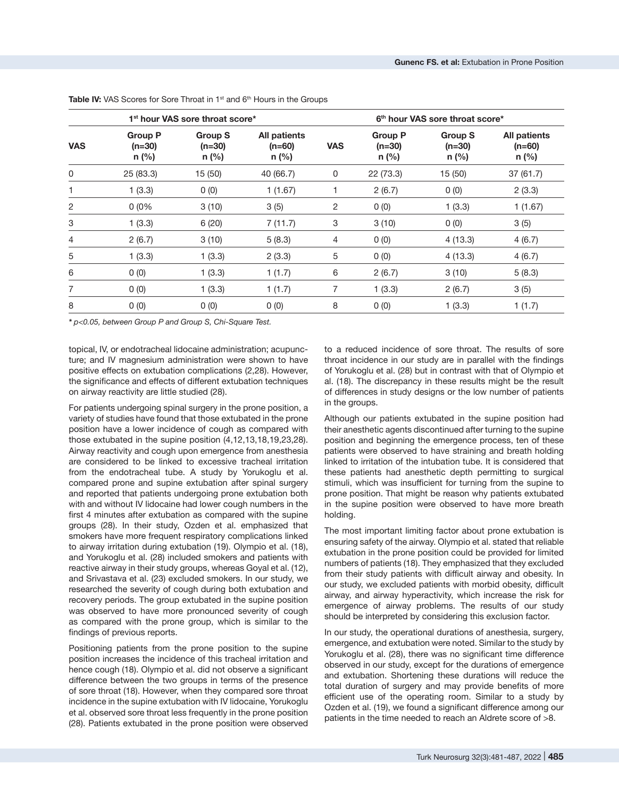| 1 <sup>st</sup> hour VAS sore throat score* |                                       |                                       |                                     | 6 <sup>th</sup> hour VAS sore throat score* |                                       |                                       |                                            |
|---------------------------------------------|---------------------------------------|---------------------------------------|-------------------------------------|---------------------------------------------|---------------------------------------|---------------------------------------|--------------------------------------------|
| <b>VAS</b>                                  | <b>Group P</b><br>$(n=30)$<br>$n$ (%) | <b>Group S</b><br>$(n=30)$<br>$n$ (%) | All patients<br>$(n=60)$<br>$n$ (%) | <b>VAS</b>                                  | <b>Group P</b><br>$(n=30)$<br>$n$ (%) | <b>Group S</b><br>$(n=30)$<br>$n$ (%) | <b>All patients</b><br>$(n=60)$<br>$n$ (%) |
| 0                                           | 25 (83.3)                             | 15 (50)                               | 40 (66.7)                           | 0                                           | 22 (73.3)                             | 15 (50)                               | 37(61.7)                                   |
|                                             | 1(3.3)                                | 0(0)                                  | 1(1.67)                             |                                             | 2(6.7)                                | 0(0)                                  | 2(3.3)                                     |
| 2                                           | 0(0%                                  | 3(10)                                 | 3(5)                                | $\overline{c}$                              | 0(0)                                  | 1(3.3)                                | 1(1.67)                                    |
| 3                                           | 1(3.3)                                | 6(20)                                 | 7(11.7)                             | 3                                           | 3(10)                                 | 0(0)                                  | 3(5)                                       |
| 4                                           | 2(6.7)                                | 3(10)                                 | 5(8.3)                              | $\overline{4}$                              | 0(0)                                  | 4(13.3)                               | 4(6.7)                                     |
| 5                                           | 1(3.3)                                | 1(3.3)                                | 2(3.3)                              | 5                                           | 0(0)                                  | 4(13.3)                               | 4(6.7)                                     |
| 6                                           | 0(0)                                  | 1(3.3)                                | 1(1.7)                              | 6                                           | 2(6.7)                                | 3(10)                                 | 5(8.3)                                     |
| 7                                           | 0(0)                                  | 1(3.3)                                | 1(1.7)                              | 7                                           | 1(3.3)                                | 2(6.7)                                | 3(5)                                       |
| 8                                           | 0(0)                                  | 0(0)                                  | 0(0)                                | 8                                           | 0(0)                                  | 1(3.3)                                | 1(1.7)                                     |

Table IV: VAS Scores for Sore Throat in 1<sup>st</sup> and 6<sup>th</sup> Hours in the Groups

*\* p<0.05, between Group P and Group S, Chi-Square Test.*

topical, IV, or endotracheal lidocaine administration; acupuncture; and IV magnesium administration were shown to have positive effects on extubation complications (2,28). However, the significance and effects of different extubation techniques on airway reactivity are little studied (28).

For patients undergoing spinal surgery in the prone position, a variety of studies have found that those extubated in the prone position have a lower incidence of cough as compared with those extubated in the supine position (4,12,13,18,19,23,28). Airway reactivity and cough upon emergence from anesthesia are considered to be linked to excessive tracheal irritation from the endotracheal tube. A study by Yorukoglu et al. compared prone and supine extubation after spinal surgery and reported that patients undergoing prone extubation both with and without IV lidocaine had lower cough numbers in the first 4 minutes after extubation as compared with the supine groups (28). In their study, Ozden et al. emphasized that smokers have more frequent respiratory complications linked to airway irritation during extubation (19). Olympio et al. (18), and Yorukoglu et al. (28) included smokers and patients with reactive airway in their study groups, whereas Goyal et al. (12), and Srivastava et al. (23) excluded smokers. In our study, we researched the severity of cough during both extubation and recovery periods. The group extubated in the supine position was observed to have more pronounced severity of cough as compared with the prone group, which is similar to the findings of previous reports.

Positioning patients from the prone position to the supine position increases the incidence of this tracheal irritation and hence cough (18). Olympio et al. did not observe a significant difference between the two groups in terms of the presence of sore throat (18). However, when they compared sore throat incidence in the supine extubation with IV lidocaine, Yorukoglu et al. observed sore throat less frequently in the prone position (28). Patients extubated in the prone position were observed

to a reduced incidence of sore throat. The results of sore throat incidence in our study are in parallel with the findings of Yorukoglu et al. (28) but in contrast with that of Olympio et al. (18). The discrepancy in these results might be the result of differences in study designs or the low number of patients in the groups.

Although our patients extubated in the supine position had their anesthetic agents discontinued after turning to the supine position and beginning the emergence process, ten of these patients were observed to have straining and breath holding linked to irritation of the intubation tube. It is considered that these patients had anesthetic depth permitting to surgical stimuli, which was insufficient for turning from the supine to prone position. That might be reason why patients extubated in the supine position were observed to have more breath holding.

The most important limiting factor about prone extubation is ensuring safety of the airway. Olympio et al. stated that reliable extubation in the prone position could be provided for limited numbers of patients (18). They emphasized that they excluded from their study patients with difficult airway and obesity. In our study, we excluded patients with morbid obesity, difficult airway, and airway hyperactivity, which increase the risk for emergence of airway problems. The results of our study should be interpreted by considering this exclusion factor.

In our study, the operational durations of anesthesia, surgery, emergence, and extubation were noted. Similar to the study by Yorukoglu et al. (28), there was no significant time difference observed in our study, except for the durations of emergence and extubation. Shortening these durations will reduce the total duration of surgery and may provide benefits of more efficient use of the operating room. Similar to a study by Ozden et al. (19), we found a significant difference among our patients in the time needed to reach an Aldrete score of >8.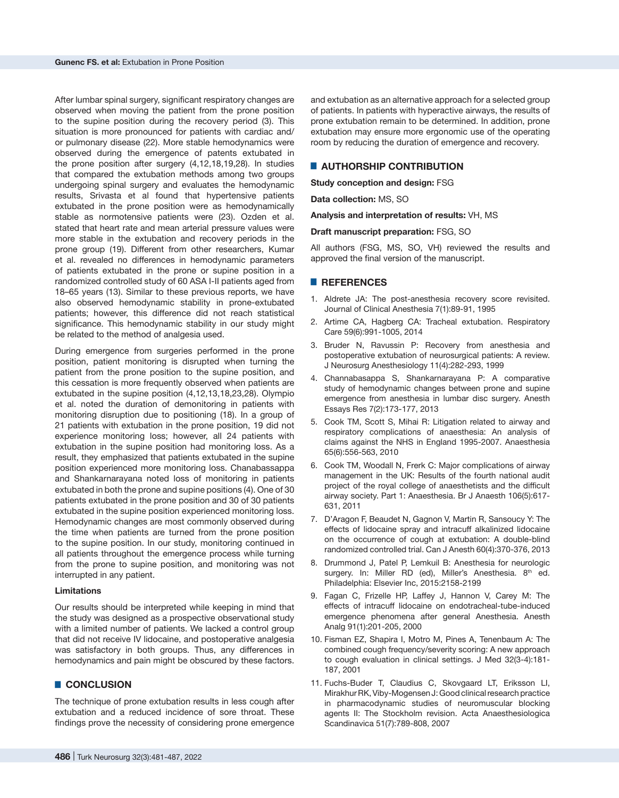After lumbar spinal surgery, significant respiratory changes are observed when moving the patient from the prone position to the supine position during the recovery period (3). This situation is more pronounced for patients with cardiac and/ or pulmonary disease (22). More stable hemodynamics were observed during the emergence of patents extubated in the prone position after surgery (4,12,18,19,28). In studies that compared the extubation methods among two groups undergoing spinal surgery and evaluates the hemodynamic results, Srivasta et al found that hypertensive patients extubated in the prone position were as hemodynamically stable as normotensive patients were (23). Ozden et al. stated that heart rate and mean arterial pressure values were more stable in the extubation and recovery periods in the prone group (19). Different from other researchers, Kumar et al. revealed no differences in hemodynamic parameters of patients extubated in the prone or supine position in a randomized controlled study of 60 ASA I-II patients aged from 18–65 years (13). Similar to these previous reports, we have also observed hemodynamic stability in prone-extubated patients; however, this difference did not reach statistical significance. This hemodynamic stability in our study might be related to the method of analgesia used.

During emergence from surgeries performed in the prone position, patient monitoring is disrupted when turning the patient from the prone position to the supine position, and this cessation is more frequently observed when patients are extubated in the supine position (4,12,13,18,23,28). Olympio et al. noted the duration of demonitoring in patients with monitoring disruption due to positioning (18). In a group of 21 patients with extubation in the prone position, 19 did not experience monitoring loss; however, all 24 patients with extubation in the supine position had monitoring loss. As a result, they emphasized that patients extubated in the supine position experienced more monitoring loss. Chanabassappa and Shankarnarayana noted loss of monitoring in patients extubated in both the prone and supine positions (4). One of 30 patients extubated in the prone position and 30 of 30 patients extubated in the supine position experienced monitoring loss. Hemodynamic changes are most commonly observed during the time when patients are turned from the prone position to the supine position. In our study, monitoring continued in all patients throughout the emergence process while turning from the prone to supine position, and monitoring was not interrupted in any patient.

#### **Limitations**

Our results should be interpreted while keeping in mind that the study was designed as a prospective observational study with a limited number of patients. We lacked a control group that did not receive IV lidocaine, and postoperative analgesia was satisfactory in both groups. Thus, any differences in hemodynamics and pain might be obscured by these factors.

### █ **CONCLUSION**

The technique of prone extubation results in less cough after extubation and a reduced incidence of sore throat. These findings prove the necessity of considering prone emergence

and extubation as an alternative approach for a selected group of patients. In patients with hyperactive airways, the results of prone extubation remain to be determined. In addition, prone extubation may ensure more ergonomic use of the operating room by reducing the duration of emergence and recovery.

# █ **AUTHORSHIP CONTRIBUTION**

**Study conception and design:** FSG

**Data collection:** MS, SO

**Analysis and interpretation of results:** VH, MS

#### **Draft manuscript preparation:** FSG, SO

All authors (FSG, MS, SO, VH) reviewed the results and approved the final version of the manuscript.

#### █ **REFERENCES**

- 1. Aldrete JA: The post-anesthesia recovery score revisited. Journal of Clinical Anesthesia 7(1):89-91, 1995
- 2. Artime CA, Hagberg CA: Tracheal extubation. Respiratory Care 59(6):991-1005, 2014
- 3. Bruder N, Ravussin P: Recovery from anesthesia and postoperative extubation of neurosurgical patients: A review. J Neurosurg Anesthesiology 11(4):282-293, 1999
- 4. Channabasappa S, Shankarnarayana P: A comparative study of hemodynamic changes between prone and supine emergence from anesthesia in lumbar disc surgery. Anesth Essays Res 7(2):173-177, 2013
- 5. Cook TM, Scott S, Mihai R: Litigation related to airway and respiratory complications of anaesthesia: An analysis of claims against the NHS in England 1995-2007. Anaesthesia 65(6):556-563, 2010
- 6. Cook TM, Woodall N, Frerk C: Major complications of airway management in the UK: Results of the fourth national audit project of the royal college of anaesthetists and the difficult airway society. Part 1: Anaesthesia. Br J Anaesth 106(5):617- 631, 2011
- 7. D'Aragon F, Beaudet N, Gagnon V, Martin R, Sansoucy Y: The effects of lidocaine spray and intracuff alkalinized lidocaine on the occurrence of cough at extubation: A double-blind randomized controlled trial. Can J Anesth 60(4):370-376, 2013
- 8. Drummond J, Patel P, Lemkuil B: Anesthesia for neurologic surgery. In: Miller RD (ed), Miller's Anesthesia. 8<sup>th</sup> ed. Philadelphia: Elsevier Inc, 2015:2158-2199
- 9. Fagan C, Frizelle HP, Laffey J, Hannon V, Carey M: The effects of intracuff lidocaine on endotracheal-tube-induced emergence phenomena after general Anesthesia. Anesth Analg 91(1):201-205, 2000
- 10. Fisman EZ, Shapira I, Motro M, Pines A, Tenenbaum A: The combined cough frequency/severity scoring: A new approach to cough evaluation in clinical settings. J Med 32(3-4):181- 187, 2001
- 11. Fuchs-Buder T, Claudius C, Skovgaard LT, Eriksson LI, Mirakhur RK, Viby-Mogensen J: Good clinical research practice in pharmacodynamic studies of neuromuscular blocking agents II: The Stockholm revision. Acta Anaesthesiologica Scandinavica 51(7):789-808, 2007